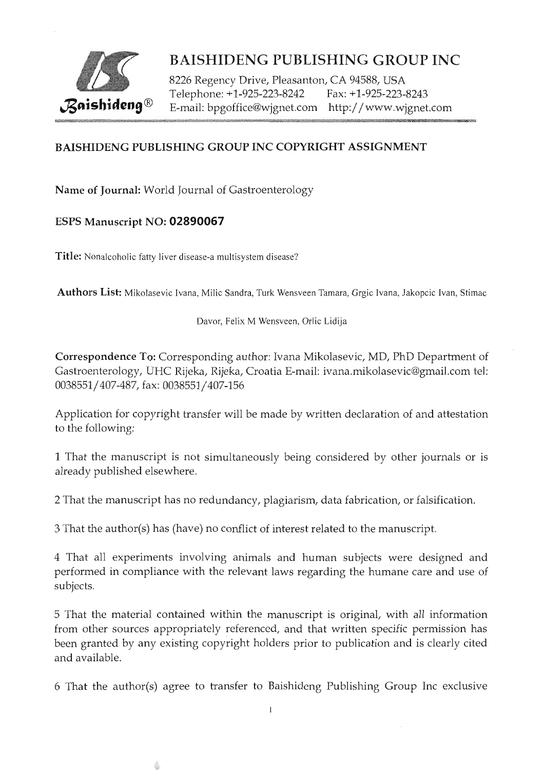

8226 Regency Drive, Pleasanton, CA 94588, USA Telephone: +1-925-223-8242 Fax: +1-925-223-8243 E-mail: bpgoffice@wjgnet.com http://www.wjgnet.com

### BAISHIDENG PUBLISHING GROUP INC COPYRIGHT ASSIGNMENT

Name of journal: World Journal of Gastroenterology

#### ESPS Manuscript NO: 02890067

Title: Nonalcoholic fatty liver disease-a multisystem disease?

ê

Authors List: Mikolasevic Ivana, Milic Sandra, Turk Wensveen Tamara, Grgic Ivana, Jakopcic Ivan, Stimac

Davor, Felix M Wensveen, Orlic Lidija

Correspondence To: Corresponding author: Ivana Mikolasevic, MD, PhD Department of Gastroenterology, UHC Rijeka, Rijeka, Croatia E-mail: ivana.mikolasevic@gmail.com tel: 0038551/407-487, fax: 0038551/407-156

Application for copyright transfer will be made by written declaration of and attestation to the following:

1 That the manuscript is not simultaneously being considered by other journals or is already published elsewhere

2 That the manuscript has no redundancy, plagiarism, data fabrication, or falsification.

3 That the author(s) has (have) no conflict of interest related to the manuscript.

4 That all experiments involving animals and human subjects were designed and performed in compliance with the relevant laws regarding the humane care and use of subjects.

5 That the material contained within the manuscript is original, with all information from other sources appropriately referenced, and that written specific permission has been granted by any existing copyright holders prior to publication and is clearly cited and available.

6 That the author(s) agree to transfer to Baishideng Publishing Group Inc exclusive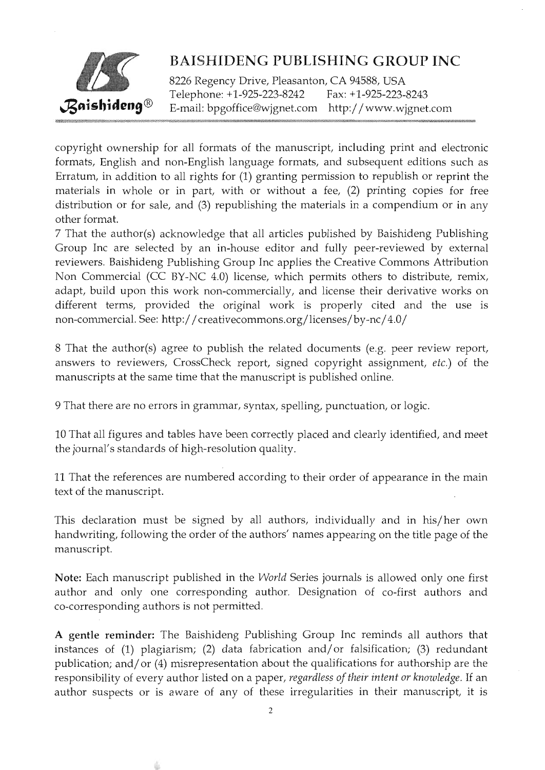

8226 Regency Drive, Pleasanton, CA 94588, USA Telephone: +1-925-223-8242 Fax: +1-925-223-8243 E-mail: bpgoffice@wjgnet.com http: / / www.wjgnet.com

copyright ownership for all formats of the manuscript, including print and electronic formats, English and non-English language formats, and subsequent editions such as Erratum, in addition to all rights for (1) granting permission to republish or reprint the materials in whole or in part, with or without a fee, (2) printing copies for free distribution or for sale, and (3) republishing the materials in a compendium or in any other format.

7 That the author(s) acknowledge that all articles published by Baishideng Publishing Group Inc are selected by an in-house editor and fully peer-reviewed by external reviewers. Baishideng Publishing Group Inc applies the Creative Commons Attribution Non Commercial (CC BY-NC 4.0) license, which permits others to distribute, remix, adapt, build upon this work non-commercially, and license their derivative works on different terms, provided the original work is properly cited and the use is non-commercial. See: http://creativecommons.org/licenses/by-nc/4.0/

8 That the author(s) agree to publish the related documents (e.g. peer review report, answers to reviewers, CrossCheck report, signed copyright assignment, etc.) of the manuscripts at the same time that the manuscript is published online.

9 That there are no errors in grammar, syntax, spelling, punctuation, or logic.

10 That all figures and tables have been correctly placed and clearly identified, and meet the journal's standards of high-resolution quality.

11 That the references are numbered according to their order of appearance in the main text of the manuscript.

This declaration must be signed by all authors, individually and in his/her own handwriting, following the order of the authors' names appearing on the title page of the manuscript.

Note: Each manuscript published in the World Series journals is allowed only one first author and only one corresponding author. Designation of co-first authors and co-corresponding authors is not permitted.

A gentle reminder: The Baishideng Publishing Group Inc reminds all authors that instances of  $(1)$  plagiarism;  $(2)$  data fabrication and/or falsification;  $(3)$  redundant publication; and/or  $(4)$  misrepresentation about the qualifications for authorship are the responsibility of every author listed on a paper, regardless of their intent or knowledge. If an author suspects or is aware of any of these irregularities in their manuscript, it is

÷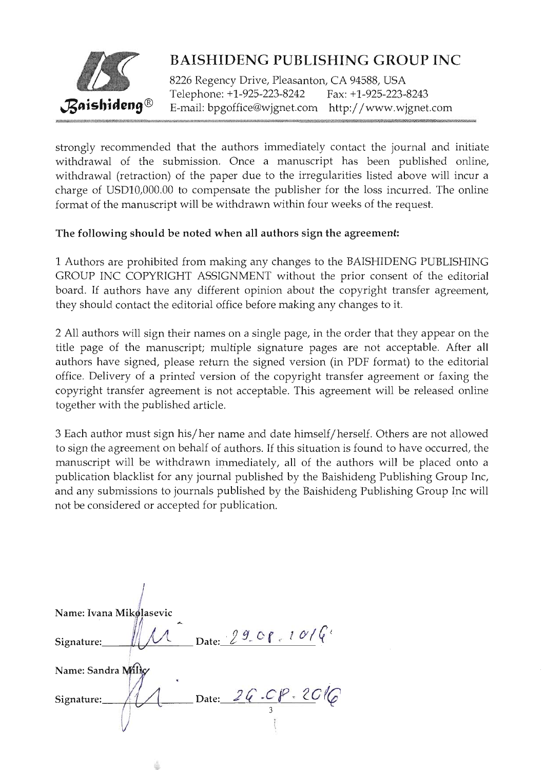

8226 Regency Drive, Pleasanton, CA 94588, USA Telephone: +1-925-223-8242 Fax: +1.-925-223-8243 E-mail: bpgoffice@wjgnet.com http://www.wjgnet.com

strongly recommended that the authors immediately contact the journal and initiate withdrawal of the submission. Once a manuscript has been published online, withdrawal (retraction) of the paper due to the irregularities listed above will incur a charge of USD10,000.00 to compensate the publisher for the loss incurred. The online format of the manuscript will be withdrawn within four weeks of the request.

#### The following should be noted when all authors sign the agreement:

L Authors are prohibited from making any changes to the BAISHIDENG PUBLISHING GROUP INC COPYRIGHT ASSIGNMENT without the prior consent of the editorial board. If authors have any different opinion about the copyright transfer agreement, they should contact the editorial office before making any changes to it.

2 AIl authors will sign their names on a single page, in the order that they appear on the title page of the manuscript; multiple signature pages are not acceptable. After all authors have signed, please return the signed version (in PDF format) to the editorial office. Delivery of a printed version of the copyright transfer agreement or faxing the copyright transfer agreement is not acceptable. This agreement will be released online together with the published article.

3 Each author must sign his/her name and date himself/herself. Others are not allowed to sign the agreement on behalf of authors. If this situation is found to have occurred, the manuscript will be withdrawn immediately, all of the authors will be placed onto a publication blacklist for any journal published by the Baishideng Publishing Group Inc, and any submissions to journals published by the Baishideng Publishing Group Inc will not be considered or accepted for publication.

| Name: Ivana Mikolasevic |                                    |
|-------------------------|------------------------------------|
| Signature:              | $\frac{29}{c}$ Date: $29$ Cf. 10/6 |
| Name: Sandra Milky      |                                    |
| Signature:              | Date: 26.08.2016                   |
|                         |                                    |

÷